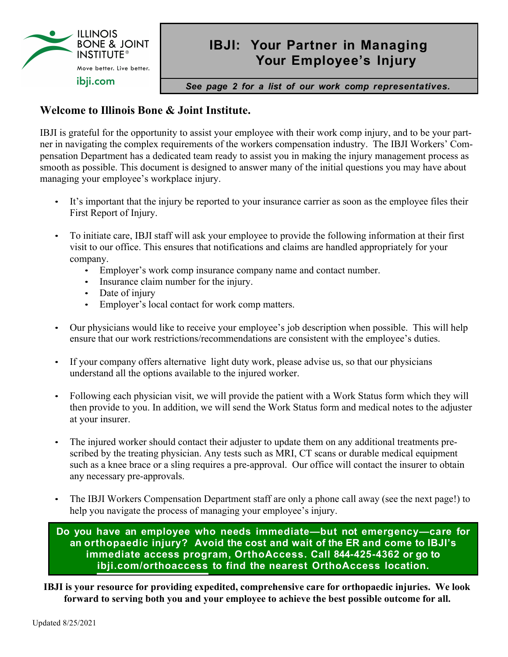

## **IBJI: Your Partner in Managing Your Employee's Injury**

*See page 2 for a list of our work comp representatives.*

## **Welcome to Illinois Bone & Joint Institute.**

IBJI is grateful for the opportunity to assist your employee with their work comp injury, and to be your partner in navigating the complex requirements of the workers compensation industry. The IBJI Workers' Compensation Department has a dedicated team ready to assist you in making the injury management process as smooth as possible. This document is designed to answer many of the initial questions you may have about managing your employee's workplace injury.

- It's important that the injury be reported to your insurance carrier as soon as the employee files their First Report of Injury.
- To initiate care, IBJI staff will ask your employee to provide the following information at their first visit to our office. This ensures that notifications and claims are handled appropriately for your company.
	- Employer's work comp insurance company name and contact number.
	- Insurance claim number for the injury.
	- Date of injury
	- Employer's local contact for work comp matters.
- Our physicians would like to receive your employee's job description when possible. This will help ensure that our work restrictions/recommendations are consistent with the employee's duties.
- If your company offers alternative light duty work, please advise us, so that our physicians understand all the options available to the injured worker.
- Following each physician visit, we will provide the patient with a Work Status form which they will then provide to you. In addition, we will send the Work Status form and medical notes to the adjuster at your insurer.
- The injured worker should contact their adjuster to update them on any additional treatments prescribed by the treating physician. Any tests such as MRI, CT scans or durable medical equipment such as a knee brace or a sling requires a pre-approval. Our office will contact the insurer to obtain any necessary pre-approvals.
- The IBJI Workers Compensation Department staff are only a phone call away (see the next page!) to help you navigate the process of managing your employee's injury.

**Do you have an employee who needs immediate—but not emergency—care for an orthopaedic injury? Avoid the cost and wait of the ER and come to IBJI's immediate access program, OrthoAccess. Call 844-425-4362 or go to ibji.com/orthoaccess to find the nearest OrthoAccess location.**

**IBJI is your resource for providing expedited, comprehensive care for orthopaedic injuries. We look forward to serving both you and your employee to achieve the best possible outcome for all.**